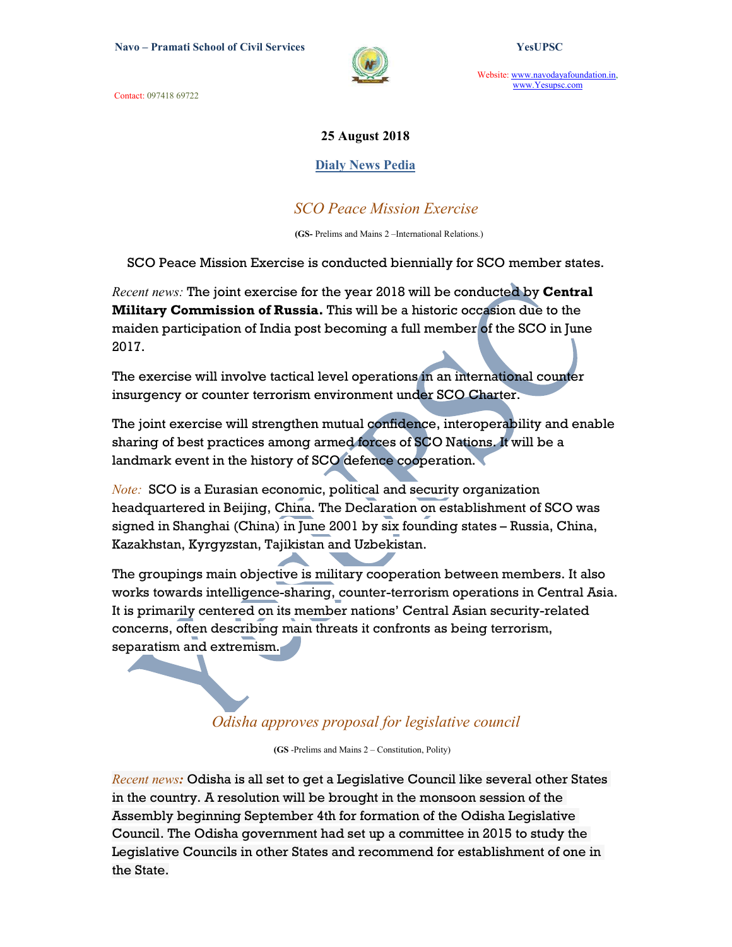Contact: 097418 69722



Website: www.navodayafoundation.in, www.Yesupsc.com

### 25 August 2018

### Dialy News Pedia

## SCO Peace Mission Exercise

(GS- Prelims and Mains 2 –International Relations.)

SCO Peace Mission Exercise is conducted biennially for SCO member states.

Recent news: The joint exercise for the year 2018 will be conducted by Central Military Commission of Russia. This will be a historic occasion due to the maiden participation of India post becoming a full member of the SCO in June 2017.

The exercise will involve tactical level operations in an international counter insurgency or counter terrorism environment under SCO Charter.

The joint exercise will strengthen mutual confidence, interoperability and enable sharing of best practices among armed forces of SCO Nations. It will be a landmark event in the history of SCO defence cooperation.

**Note:** SCO is a Eurasian economic, political and security organization headquartered in Beijing, China. The Declaration on establishment of SCO was signed in Shanghai (China) in June 2001 by six founding states – Russia, China, Kazakhstan, Kyrgyzstan, Tajikistan and Uzbekistan.

The groupings main objective is military cooperation between members. It also works towards intelligence-sharing, counter-terrorism operations in Central Asia. It is primarily centered on its member nations' Central Asian security-related concerns, often describing main threats it confronts as being terrorism, separatism and extremism.

## Odisha approves proposal for legislative council

(GS -Prelims and Mains 2 – Constitution, Polity)

Recent news: Odisha is all set to get a Legislative Council like several other States in the country. A resolution will be brought in the monsoon session of the Assembly beginning September 4th for formation of the Odisha Legislative Council. The Odisha government had set up a committee in 2015 to study the Legislative Councils in other States and recommend for establishment of one in the State.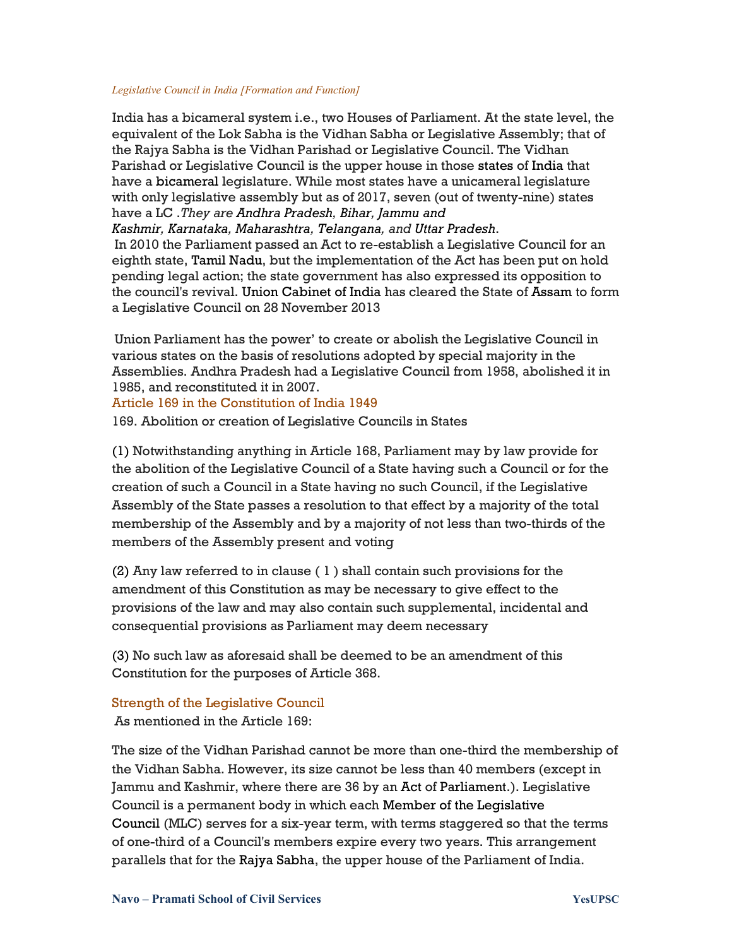#### Legislative Council in India [Formation and Function]

 India has a bicameral system i.e., two Houses of Parliament. At the state level, the equivalent of the Lok Sabha is the Vidhan Sabha or Legislative Assembly; that of the Rajya Sabha is the Vidhan Parishad or Legislative Council. The Vidhan Parishad or Legislative Council is the upper house in those states of India that have a bicameral legislature. While most states have a unicameral legislature with only legislative assembly but as of 2017, seven (out of twenty-nine) states have a LC .They are Andhra Pradesh, Bihar, Jammu and

Kashmir, Karnataka, Maharashtra, Telangana, and Uttar Pradesh.

 In 2010 the Parliament passed an Act to re-establish a Legislative Council for an eighth state, Tamil Nadu, but the implementation of the Act has been put on hold pending legal action; the state government has also expressed its opposition to the council's revival. Union Cabinet of India has cleared the State of Assam to form a Legislative Council on 28 November 2013

 Union Parliament has the power' to create or abolish the Legislative Council in various states on the basis of resolutions adopted by special majority in the Assemblies. Andhra Pradesh had a Legislative Council from 1958, abolished it in 1985, and reconstituted it in 2007.

#### Article 169 in the Constitution of India 1949

169. Abolition or creation of Legislative Councils in States

(1) Notwithstanding anything in Article 168, Parliament may by law provide for the abolition of the Legislative Council of a State having such a Council or for the creation of such a Council in a State having no such Council, if the Legislative Assembly of the State passes a resolution to that effect by a majority of the total membership of the Assembly and by a majority of not less than two-thirds of the members of the Assembly present and voting

(2) Any law referred to in clause ( 1 ) shall contain such provisions for the amendment of this Constitution as may be necessary to give effect to the provisions of the law and may also contain such supplemental, incidental and consequential provisions as Parliament may deem necessary

(3) No such law as aforesaid shall be deemed to be an amendment of this Constitution for the purposes of Article 368.

## Strength of the Legislative Council

As mentioned in the Article 169:

The size of the Vidhan Parishad cannot be more than one-third the membership of the Vidhan Sabha. However, its size cannot be less than 40 members (except in Jammu and Kashmir, where there are 36 by an Act of Parliament.). Legislative Council is a permanent body in which each Member of the Legislative Council (MLC) serves for a six-year term, with terms staggered so that the terms of one-third of a Council's members expire every two years. This arrangement parallels that for the Rajya Sabha, the upper house of the Parliament of India.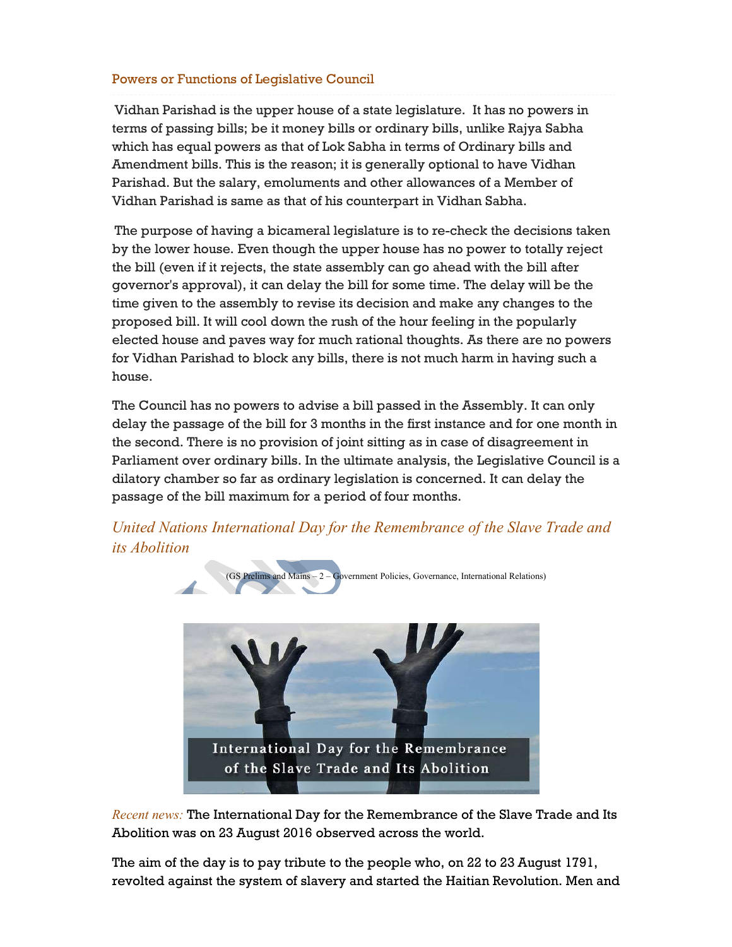### Powers or Functions of Legislative Council

 Vidhan Parishad is the upper house of a state legislature. It has no powers in terms of passing bills; be it money bills or ordinary bills, unlike Rajya Sabha which has equal powers as that of Lok Sabha in terms of Ordinary bills and Amendment bills. This is the reason; it is generally optional to have Vidhan Parishad. But the salary, emoluments and other allowances of a Member of Vidhan Parishad is same as that of his counterpart in Vidhan Sabha.

 The purpose of having a bicameral legislature is to re-check the decisions taken by the lower house. Even though the upper house has no power to totally reject the bill (even if it rejects, the state assembly can go ahead with the bill after governor's approval), it can delay the bill for some time. The delay will be the time given to the assembly to revise its decision and make any changes to the proposed bill. It will cool down the rush of the hour feeling in the popularly elected house and paves way for much rational thoughts. As there are no powers for Vidhan Parishad to block any bills, there is not much harm in having such a house.

 The Council has no powers to advise a bill passed in the Assembly. It can only delay the passage of the bill for 3 months in the first instance and for one month in the second. There is no provision of joint sitting as in case of disagreement in Parliament over ordinary bills. In the ultimate analysis, the Legislative Council is a dilatory chamber so far as ordinary legislation is concerned. It can delay the passage of the bill maximum for a period of four months.

 United Nations International Day for the Remembrance of the Slave Trade and its Abolition



Recent news: The International Day for the Remembrance of the Slave Trade and Its Abolition was on 23 August 2016 observed across the world.

The aim of the day is to pay tribute to the people who, on 22 to 23 August 1791, revolted against the system of slavery and started the Haitian Revolution. Men and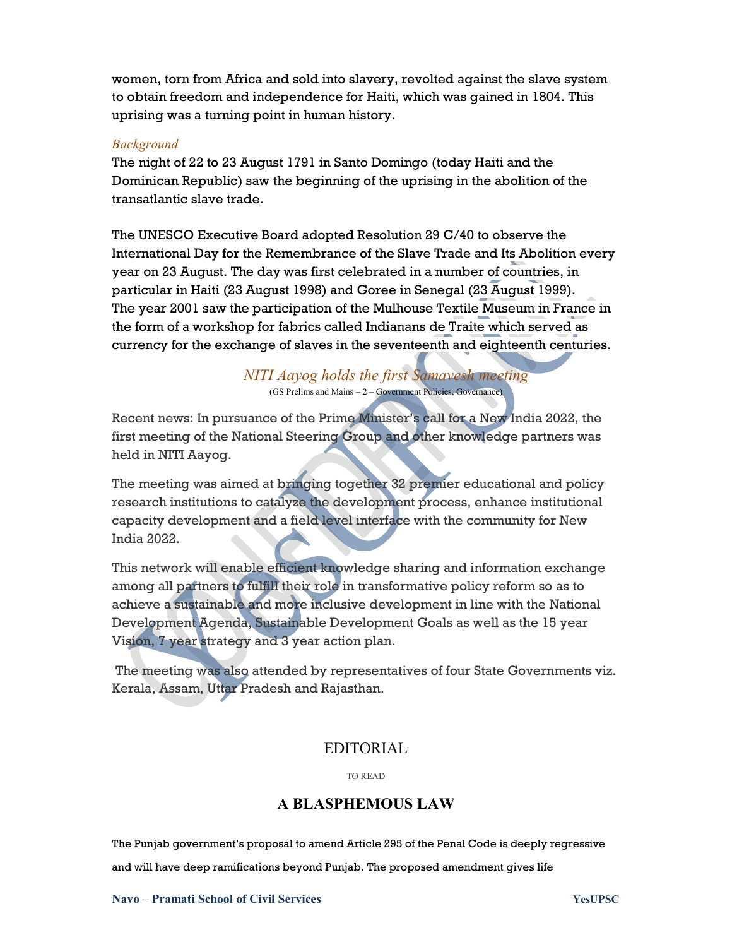women, torn from Africa and sold into slavery, revolted against the slave system to obtain freedom and independence for Haiti, which was gained in 1804. This uprising was a turning point in human history.

#### Background

The night of 22 to 23 August 1791 in Santo Domingo (today Haiti and the Dominican Republic) saw the beginning of the uprising in the abolition of the transatlantic slave trade.

The UNESCO Executive Board adopted Resolution 29 C/40 to observe the International Day for the Remembrance of the Slave Trade and Its Abolition every year on 23 August. The day was first celebrated in a number of countries, in particular in Haiti (23 August 1998) and Goree in Senegal (23 August 1999). The year 2001 saw the participation of the Mulhouse Textile Museum in France in the form of a workshop for fabrics called Indianans de Traite which served as currency for the exchange of slaves in the seventeenth and eighteenth centuries.

> NITI Aayog holds the first Samavesh meeting (GS Prelims and Mains – 2 – Government Policies, Governance)

Recent news: In pursuance of the Prime Minister's call for a New India 2022, the first meeting of the National Steering Group and other knowledge partners was held in NITI Aayog.

The meeting was aimed at bringing together 32 premier educational and policy research institutions to catalyze the development process, enhance institutional capacity development and a field level interface with the community for New India 2022.

This network will enable efficient knowledge sharing and information exchange among all partners to fulfill their role in transformative policy reform so as to achieve a sustainable and more inclusive development in line with the National Development Agenda, Sustainable Development Goals as well as the 15 year Vision, 7 year strategy and 3 year action plan.

 The meeting was also attended by representatives of four State Governments viz. Kerala, Assam, Uttar Pradesh and Rajasthan.

## EDITORIAL

TO READ

## A BLASPHEMOUS LAW

The Punjab government's proposal to amend Article 295 of the Penal Code is deeply regressive and will have deep ramifications beyond Punjab. The proposed amendment gives life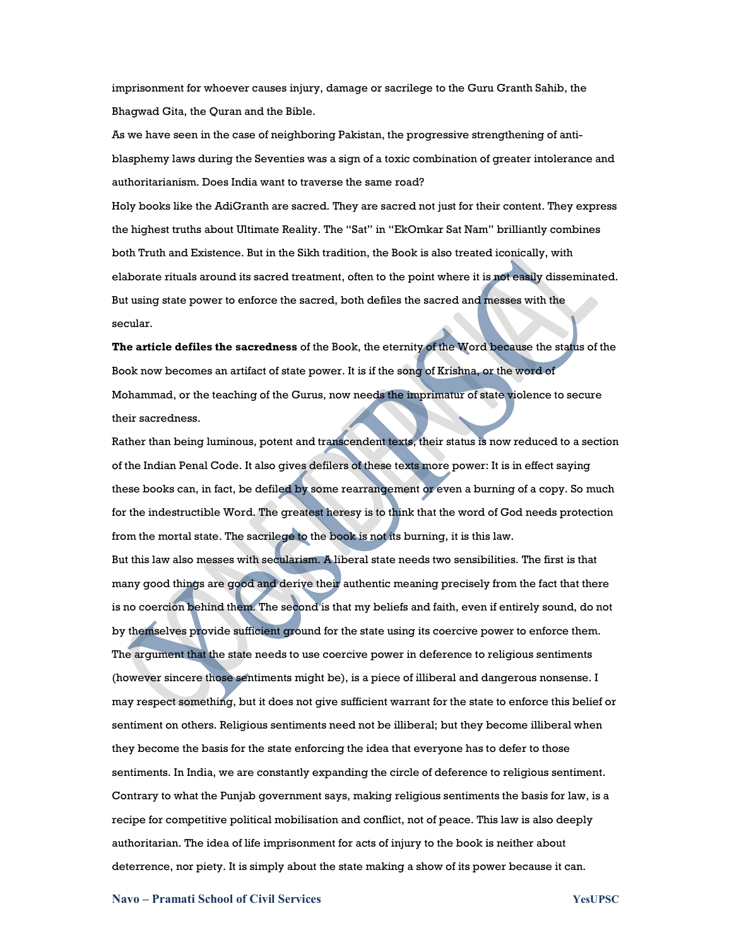imprisonment for whoever causes injury, damage or sacrilege to the Guru Granth Sahib, the Bhagwad Gita, the Quran and the Bible.

As we have seen in the case of neighboring Pakistan, the progressive strengthening of antiblasphemy laws during the Seventies was a sign of a toxic combination of greater intolerance and authoritarianism. Does India want to traverse the same road?

Holy books like the AdiGranth are sacred. They are sacred not just for their content. They express the highest truths about Ultimate Reality. The "Sat" in "EkOmkar Sat Nam" brilliantly combines both Truth and Existence. But in the Sikh tradition, the Book is also treated iconically, with elaborate rituals around its sacred treatment, often to the point where it is not easily disseminated. But using state power to enforce the sacred, both defiles the sacred and messes with the secular.

The article defiles the sacredness of the Book, the eternity of the Word because the status of the Book now becomes an artifact of state power. It is if the song of Krishna, or the word of Mohammad, or the teaching of the Gurus, now needs the imprimatur of state violence to secure their sacredness.

Rather than being luminous, potent and transcendent texts, their status is now reduced to a section of the Indian Penal Code. It also gives defilers of these texts more power: It is in effect saying these books can, in fact, be defiled by some rearrangement or even a burning of a copy. So much for the indestructible Word. The greatest heresy is to think that the word of God needs protection from the mortal state. The sacrilege to the book is not its burning, it is this law. But this law also messes with secularism. A liberal state needs two sensibilities. The first is that many good things are good and derive their authentic meaning precisely from the fact that there is no coercion behind them. The second is that my beliefs and faith, even if entirely sound, do not by themselves provide sufficient ground for the state using its coercive power to enforce them. The argument that the state needs to use coercive power in deference to religious sentiments (however sincere those sentiments might be), is a piece of illiberal and dangerous nonsense. I may respect something, but it does not give sufficient warrant for the state to enforce this belief or sentiment on others. Religious sentiments need not be illiberal; but they become illiberal when they become the basis for the state enforcing the idea that everyone has to defer to those sentiments. In India, we are constantly expanding the circle of deference to religious sentiment. Contrary to what the Punjab government says, making religious sentiments the basis for law, is a recipe for competitive political mobilisation and conflict, not of peace. This law is also deeply authoritarian. The idea of life imprisonment for acts of injury to the book is neither about deterrence, nor piety. It is simply about the state making a show of its power because it can.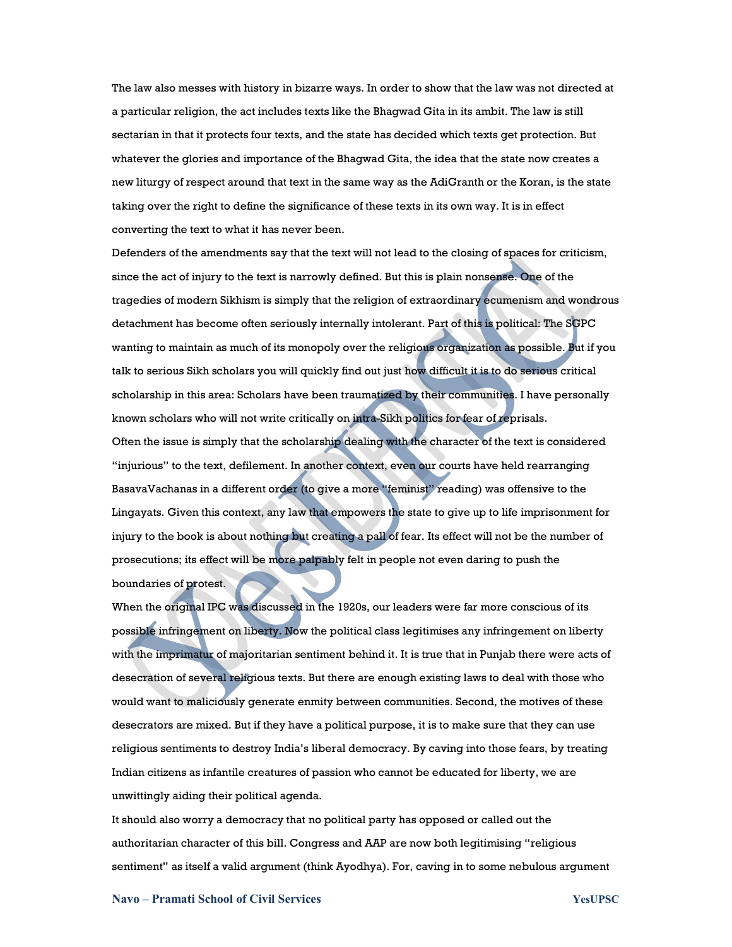The law also messes with history in bizarre ways. In order to show that the law was not directed at a particular religion, the act includes texts like the Bhagwad Gita in its ambit. The law is still sectarian in that it protects four texts, and the state has decided which texts get protection. But whatever the glories and importance of the Bhagwad Gita, the idea that the state now creates a new liturgy of respect around that text in the same way as the AdiGranth or the Koran, is the state taking over the right to define the significance of these texts in its own way. It is in effect converting the text to what it has never been.

Defenders of the amendments say that the text will not lead to the closing of spaces for criticism, since the act of injury to the text is narrowly defined. But this is plain nonsense. One of the tragedies of modern Sikhism is simply that the religion of extraordinary ecumenism and wondrous detachment has become often seriously internally intolerant. Part of this is political: The SGPC wanting to maintain as much of its monopoly over the religious organization as possible. But if you talk to serious Sikh scholars you will quickly find out just how difficult it is to do serious critical scholarship in this area: Scholars have been traumatized by their communities. I have personally known scholars who will not write critically on intra-Sikh politics for fear of reprisals.

Often the issue is simply that the scholarship dealing with the character of the text is considered "injurious" to the text, defilement. In another context, even our courts have held rearranging BasavaVachanas in a different order (to give a more "feminist" reading) was offensive to the Lingayats. Given this context, any law that empowers the state to give up to life imprisonment for injury to the book is about nothing but creating a pall of fear. Its effect will not be the number of prosecutions; its effect will be more palpably felt in people not even daring to push the boundaries of protest.

When the original IPC was discussed in the 1920s, our leaders were far more conscious of its possible infringement on liberty. Now the political class legitimises any infringement on liberty with the imprimatur of majoritarian sentiment behind it. It is true that in Punjab there were acts of desecration of several religious texts. But there are enough existing laws to deal with those who would want to maliciously generate enmity between communities. Second, the motives of these desecrators are mixed. But if they have a political purpose, it is to make sure that they can use religious sentiments to destroy India's liberal democracy. By caving into those fears, by treating Indian citizens as infantile creatures of passion who cannot be educated for liberty, we are unwittingly aiding their political agenda.

It should also worry a democracy that no political party has opposed or called out the authoritarian character of this bill. Congress and AAP are now both legitimising "religious sentiment" as itself a valid argument (think Ayodhya). For, caving in to some nebulous argument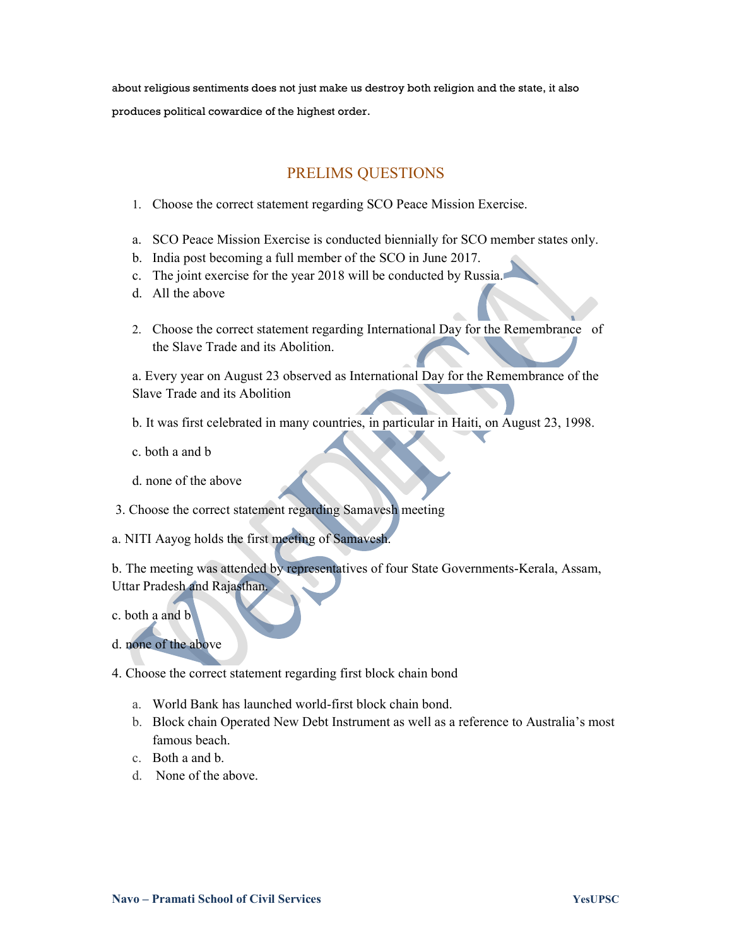about religious sentiments does not just make us destroy both religion and the state, it also produces political cowardice of the highest order.

## PRELIMS QUESTIONS

- 1. Choose the correct statement regarding SCO Peace Mission Exercise.
- a. SCO Peace Mission Exercise is conducted biennially for SCO member states only.
- b. India post becoming a full member of the SCO in June 2017.
- c. The joint exercise for the year 2018 will be conducted by Russia.
- d. All the above
- 2. Choose the correct statement regarding International Day for the Remembrance of the Slave Trade and its Abolition.

a. Every year on August 23 observed as International Day for the Remembrance of the Slave Trade and its Abolition

- b. It was first celebrated in many countries, in particular in Haiti, on August 23, 1998.
- c. both a and b
- d. none of the above
- 3. Choose the correct statement regarding Samavesh meeting
- a. NITI Aayog holds the first meeting of Samavesh.

b. The meeting was attended by representatives of four State Governments-Kerala, Assam, Uttar Pradesh and Rajasthan.

- c. both a and b
- d. none of the above
- 4. Choose the correct statement regarding first block chain bond
	- a. World Bank has launched world-first block chain bond.
	- b. Block chain Operated New Debt Instrument as well as a reference to Australia's most famous beach.
	- c. Both a and b.
	- d. None of the above.